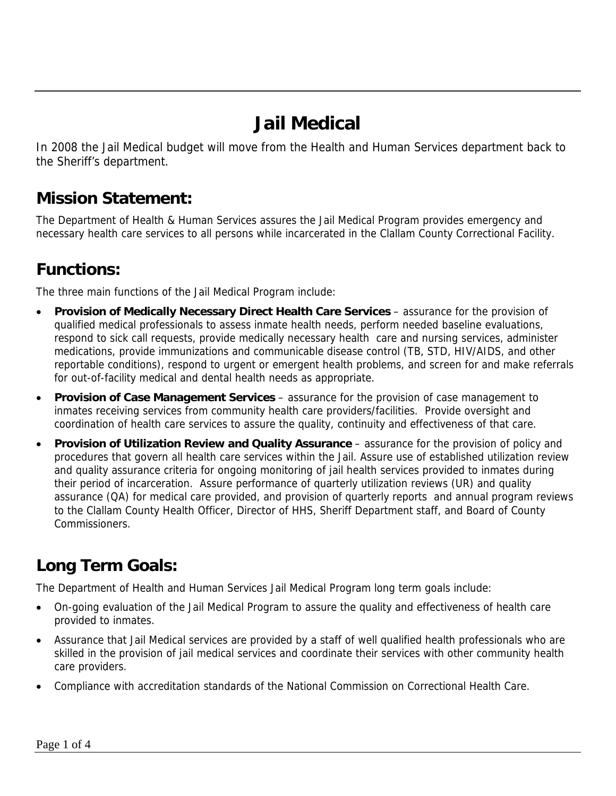# **Jail Medical**

In 2008 the Jail Medical budget will move from the Health and Human Services department back to the Sheriff's department.

#### **Mission Statement:**

The Department of Health & Human Services assures the Jail Medical Program provides emergency and necessary health care services to all persons while incarcerated in the Clallam County Correctional Facility.

## **Functions:**

The three main functions of the Jail Medical Program include:

- **Provision of Medically Necessary Direct Health Care Services**  assurance for the provision of qualified medical professionals to assess inmate health needs, perform needed baseline evaluations, respond to sick call requests, provide medically necessary health care and nursing services, administer medications, provide immunizations and communicable disease control (TB, STD, HIV/AIDS, and other reportable conditions), respond to urgent or emergent health problems, and screen for and make referrals for out-of-facility medical and dental health needs as appropriate.
- **Provision of Case Management Services** assurance for the provision of case management to inmates receiving services from community health care providers/facilities. Provide oversight and coordination of health care services to assure the quality, continuity and effectiveness of that care.
- **Provision of Utilization Review and Quality Assurance**  assurance for the provision of policy and procedures that govern all health care services within the Jail. Assure use of established utilization review and quality assurance criteria for ongoing monitoring of jail health services provided to inmates during their period of incarceration. Assure performance of quarterly utilization reviews (UR) and quality assurance (QA) for medical care provided, and provision of quarterly reports and annual program reviews to the Clallam County Health Officer, Director of HHS, Sheriff Department staff, and Board of County Commissioners.

# **Long Term Goals:**

The Department of Health and Human Services Jail Medical Program long term goals include:

- On-going evaluation of the Jail Medical Program to assure the quality and effectiveness of health care provided to inmates.
- Assurance that Jail Medical services are provided by a staff of well qualified health professionals who are skilled in the provision of jail medical services and coordinate their services with other community health care providers.
- Compliance with accreditation standards of the National Commission on Correctional Health Care.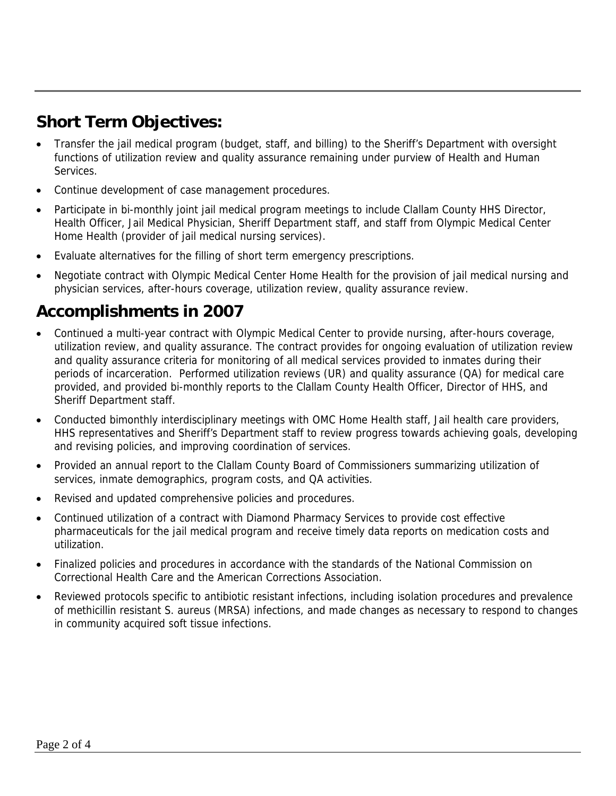## **Short Term Objectives:**

- Transfer the jail medical program (budget, staff, and billing) to the Sheriff's Department with oversight functions of utilization review and quality assurance remaining under purview of Health and Human Services.
- Continue development of case management procedures.
- Participate in bi-monthly joint jail medical program meetings to include Clallam County HHS Director, Health Officer, Jail Medical Physician, Sheriff Department staff, and staff from Olympic Medical Center Home Health (provider of jail medical nursing services).
- Evaluate alternatives for the filling of short term emergency prescriptions.
- Negotiate contract with Olympic Medical Center Home Health for the provision of jail medical nursing and physician services, after-hours coverage, utilization review, quality assurance review.

## **Accomplishments in 2007**

- Continued a multi-year contract with Olympic Medical Center to provide nursing, after-hours coverage, utilization review, and quality assurance. The contract provides for ongoing evaluation of utilization review and quality assurance criteria for monitoring of all medical services provided to inmates during their periods of incarceration. Performed utilization reviews (UR) and quality assurance (QA) for medical care provided, and provided bi-monthly reports to the Clallam County Health Officer, Director of HHS, and Sheriff Department staff.
- Conducted bimonthly interdisciplinary meetings with OMC Home Health staff, Jail health care providers, HHS representatives and Sheriff's Department staff to review progress towards achieving goals, developing and revising policies, and improving coordination of services.
- Provided an annual report to the Clallam County Board of Commissioners summarizing utilization of services, inmate demographics, program costs, and QA activities.
- Revised and updated comprehensive policies and procedures.
- Continued utilization of a contract with Diamond Pharmacy Services to provide cost effective pharmaceuticals for the jail medical program and receive timely data reports on medication costs and utilization.
- Finalized policies and procedures in accordance with the standards of the National Commission on Correctional Health Care and the American Corrections Association.
- Reviewed protocols specific to antibiotic resistant infections, including isolation procedures and prevalence of methicillin resistant S. aureus (MRSA) infections, and made changes as necessary to respond to changes in community acquired soft tissue infections.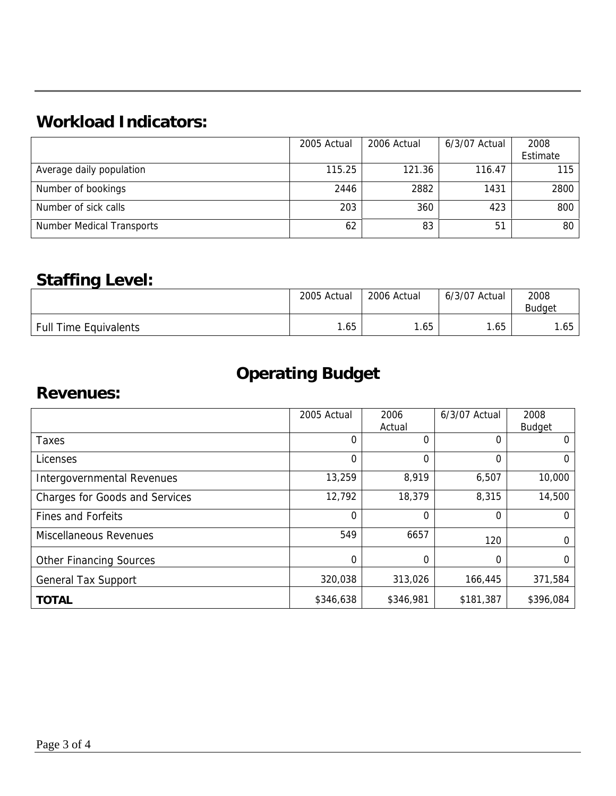# **Workload Indicators:**

|                                  | 2005 Actual | 2006 Actual | 6/3/07 Actual | 2008             |
|----------------------------------|-------------|-------------|---------------|------------------|
|                                  |             |             |               | Estimate         |
| Average daily population         | 115.25      | 121.36      | 116.47        | 115 <sup>1</sup> |
| Number of bookings               | 2446        | 2882        | 1431          | 2800             |
| Number of sick calls             | 203         | 360         | 423           | 800              |
| <b>Number Medical Transports</b> | 62          | 83          | 51            | 80               |

#### **Staffing Level:**

|                              | 2005 Actual | 2006 Actual | 6/3/07<br>Actual | 2008<br><b>Budget</b> |
|------------------------------|-------------|-------------|------------------|-----------------------|
| <b>Full Time Equivalents</b> | 1.65        | .65         | .65              | .65                   |

# **Operating Budget**

#### **Revenues:**

|                                       | 2005 Actual | 2006      | 6/3/07 Actual | 2008          |
|---------------------------------------|-------------|-----------|---------------|---------------|
|                                       |             | Actual    |               | <b>Budget</b> |
| Taxes                                 | 0           | 0         | 0             | 0             |
| Licenses                              | $\Omega$    | 0         | 0             | 0             |
| Intergovernmental Revenues            | 13,259      | 8,919     | 6,507         | 10,000        |
| <b>Charges for Goods and Services</b> | 12,792      | 18,379    | 8,315         | 14,500        |
| <b>Fines and Forfeits</b>             | $\Omega$    | $\Omega$  | 0             | 0             |
| <b>Miscellaneous Revenues</b>         | 549         | 6657      | 120           | 0             |
| <b>Other Financing Sources</b>        | 0           | 0         | 0             | 0             |
| <b>General Tax Support</b>            | 320,038     | 313,026   | 166,445       | 371,584       |
| <b>TOTAL</b>                          | \$346,638   | \$346,981 | \$181,387     | \$396,084     |